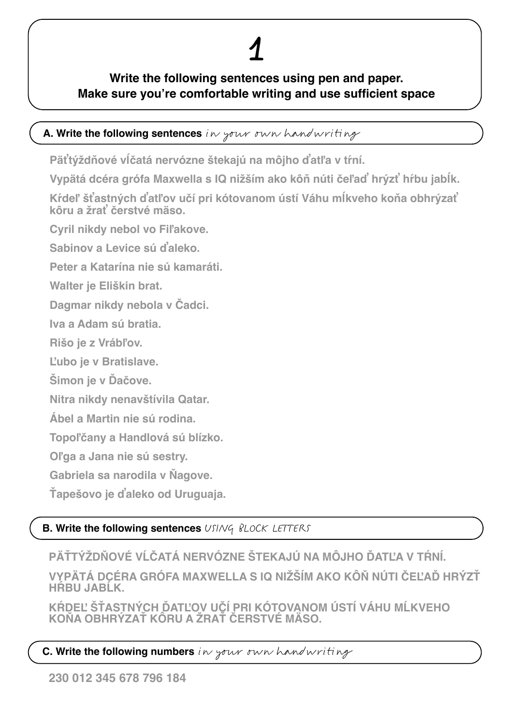## **Write the following sentences using pen and paper. Make sure you're comfortable writing and use sufficient space**

## **A. Write the following sentences** in your own handwriting

**Päťtýždňové vĺčatá nervózne štekajú na môjho ďatľa v tŕní.** 

**Vypätá dcéra grófa Maxwella s IQ nižším ako kôň núti čeľaď hrýzť hŕbu jabĺk.**

**Kŕdeľ šťastných ďatľov učí pri kótovanom ústí Váhu mĺkveho koňa obhrýzať kôru a žrať čerstvé mäso.**

**Cyril nikdy nebol vo Fiľakove.**

**Sabinov a Levice sú ďaleko.**

**Peter a Katarína nie sú kamaráti.**

**Walter je Eliškin brat.**

**Dagmar nikdy nebola v Čadci.**

**Iva a Adam sú bratia.**

**Rišo je z Vrábľov.**

**Ľubo je v Bratislave.**

**Šimon je v Ďačove.**

**Nitra nikdy nenavštívila Qatar.**

**Ábel a Martin nie sú rodina.**

**Topoľčany a Handlová sú blízko.**

**Oľga a Jana nie sú sestry.**

**Gabriela sa narodila v Ňagove.**

**Ťapešovo je ďaleko od Uruguaja.**

## **B. Write the following sentences** USING BLOCK LETTERS

**PÄŤTÝŽDŇOVÉ VĹČATÁ NERVÓZNE ŠTEKAJÚ NA MÔJHO ĎATĽA V TŔNÍ.** 

**VYPÄTÁ DCÉRA GRÓFA MAXWELLA S IQ NIŽŠÍM AKO KÔŇ NÚTI ČEĽAĎ HRÝZŤ HŔBU JABĹK.**

KRDEĽ STASTNÝCH DATĽOV UČÍ PRI KOTOVANOM USTÍ VÁHU MLKVEHO **KOŇA OBHRÝZAŤ KÔRU A ŽRAŤ ČERSTVÉ MÄSO.**

## **C. Write the following numbers** in your own handwriting